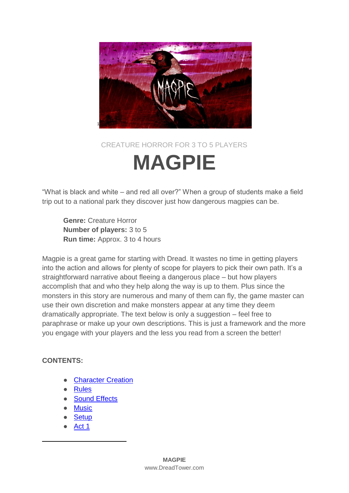

## CREATURE HORROR FOR 3 TO 5 PLAYERS **MAGPIE**

"What is black and white – and red all over?" When a group of students make a field trip out to a national park they discover just how dangerous magpies can be.

**Genre:** Creature Horror **Number of players:** 3 to 5 **Run time:** Approx. 3 to 4 hours

Magpie is a great game for starting with Dread. It wastes no time in getting players into the action and allows for plenty of scope for players to pick their own path. It's a straightforward narrative about fleeing a dangerous place – but how players accomplish that and who they help along the way is up to them. Plus since the monsters in this story are numerous and many of them can fly, the game master can use their own discretion and make monsters appear at any time they deem dramatically appropriate. The text below is only a suggestion – feel free to paraphrase or make up your own descriptions. This is just a framework and the more you engage with your players and the less you read from a screen the better!

### **CONTENTS:**

-

- **[Character Creation](#page-1-0)**
- **[Rules](#page-1-1)**
- [Sound Effects](#page-2-0)
- **[Music](#page-2-1)**
- **[Setup](#page-2-2)**
- [Act 1](#page-3-0)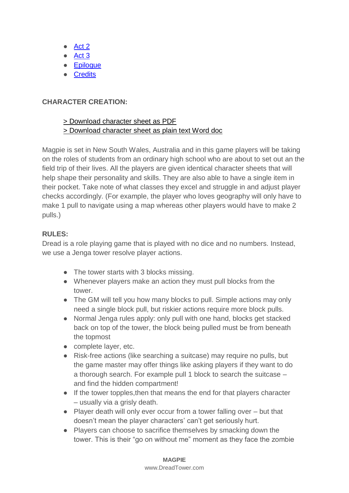- [Act 2](#page-9-0)
- [Act 3](#page-11-0)
- [Epilogue](#page-12-0)
- [Credits](#page-12-1)

### <span id="page-1-0"></span>**CHARACTER CREATION:**

### [> Download character sheet as PDF](http://www.dreadtower.com/wp-content/uploads/2018/03/Magpie_CharacterSheet.pdf) [> Download character sheet as plain text Word doc](http://www.dreadtower.com/wp-content/uploads/2018/03/Magpie_CharacterSheet.docx)

Magpie is set in New South Wales, Australia and in this game players will be taking on the roles of students from an ordinary high school who are about to set out an the field trip of their lives. All the players are given identical character sheets that will help shape their personality and skills. They are also able to have a single item in their pocket. Take note of what classes they excel and struggle in and adjust player checks accordingly. (For example, the player who loves geography will only have to make 1 pull to navigate using a map whereas other players would have to make 2 pulls.)

### <span id="page-1-1"></span>**RULES:**

Dread is a role playing game that is played with no dice and no numbers. Instead, we use a Jenga tower resolve player actions.

- The tower starts with 3 blocks missing.
- Whenever players make an action they must pull blocks from the tower.
- The GM will tell you how many blocks to pull. Simple actions may only need a single block pull, but riskier actions require more block pulls.
- Normal Jenga rules apply: only pull with one hand, blocks get stacked back on top of the tower, the block being pulled must be from beneath the topmost
- complete layer, etc.
- Risk-free actions (like searching a suitcase) may require no pulls, but the game master may offer things like asking players if they want to do a thorough search. For example pull 1 block to search the suitcase – and find the hidden compartment!
- If the tower topples,then that means the end for that players character – usually via a grisly death.
- Player death will only ever occur from a tower falling over but that doesn't mean the player characters' can't get seriously hurt.
- Players can choose to sacrifice themselves by smacking down the tower. This is their "go on without me" moment as they face the zombie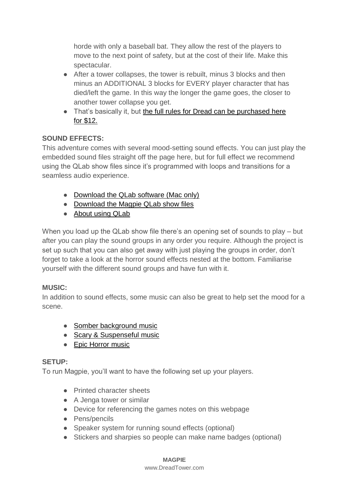horde with only a baseball bat. They allow the rest of the players to move to the next point of safety, but at the cost of their life. Make this spectacular.

- After a tower collapses, the tower is rebuilt, minus 3 blocks and then minus an ADDITIONAL 3 blocks for EVERY player character that has died/left the game. In this way the longer the game goes, the closer to another tower collapse you get.
- That's basically it, but the full rules for Dread can be purchased here [for \\$12.](http://www.tiltingatwindmills.net/games/dread/)

### <span id="page-2-0"></span>**SOUND EFFECTS:**

This adventure comes with several mood-setting sound effects. You can just play the embedded sound files straight off the page here, but for full effect we recommend using the QLab show files since it's programmed with loops and transitions for a seamless audio experience.

- [Download the QLab software \(Mac only\)](https://figure53.com/qlab/download/)
- [Download the Magpie QLab show files](https://figure53.com/qlab/download/)
- [About using QLab](http://www.dreadtower.com/sfx/)

When you load up the QLab show file there's an opening set of sounds to play – but after you can play the sound groups in any order you require. Although the project is set up such that you can also get away with just playing the groups in order, don't forget to take a look at the horror sound effects nested at the bottom. Familiarise yourself with the different sound groups and have fun with it.

### <span id="page-2-1"></span>**MUSIC:**

In addition to sound effects, some music can also be great to help set the mood for a scene.

- [Somber background music](https://www.youtube.com/watch?v=-heSRbvCErU&t=1366s)
- [Scary & Suspenseful music](https://www.youtube.com/watch?v=-heSRbvCErU&t=1366s)
- [Epic Horror music](https://www.youtube.com/watch?v=UUIFt_SYt2k)

### <span id="page-2-2"></span>**SETUP:**

To run Magpie, you'll want to have the following set up your players.

- Printed character sheets
- A Jenga tower or similar
- Device for referencing the games notes on this webpage
- Pens/pencils
- Speaker system for running sound effects (optional)
- Stickers and sharpies so people can make name badges (optional)

### **MAGPIE**

#### www.DreadTower.com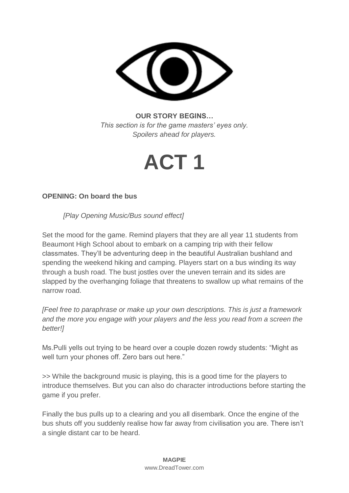

**OUR STORY BEGINS…** *This section is for the game masters' eyes only. Spoilers ahead for players.*

## **ACT 1**

### <span id="page-3-0"></span>**OPENING: On board the bus**

*[Play Opening Music/Bus sound effect]*

Set the mood for the game. Remind players that they are all year 11 students from Beaumont High School about to embark on a camping trip with their fellow classmates. They'll be adventuring deep in the beautiful Australian bushland and spending the weekend hiking and camping. Players start on a bus winding its way through a bush road. The bust jostles over the uneven terrain and its sides are slapped by the overhanging foliage that threatens to swallow up what remains of the narrow road.

*[Feel free to paraphrase or make up your own descriptions. This is just a framework and the more you engage with your players and the less you read from a screen the better!]*

Ms.Pulli yells out trying to be heard over a couple dozen rowdy students: "Might as well turn your phones off. Zero bars out here."

>> While the background music is playing, this is a good time for the players to introduce themselves. But you can also do character introductions before starting the game if you prefer.

Finally the bus pulls up to a clearing and you all disembark. Once the engine of the bus shuts off you suddenly realise how far away from civilisation you are. There isn't a single distant car to be heard.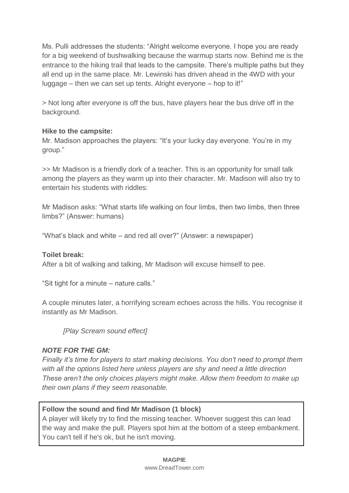Ms. Pulli addresses the students: "Alright welcome everyone. I hope you are ready for a big weekend of bushwalking because the warmup starts now. Behind me is the entrance to the hiking trail that leads to the campsite. There's multiple paths but they all end up in the same place. Mr. Lewinski has driven ahead in the 4WD with your luggage – then we can set up tents. Alright everyone – hop to it!"

> Not long after everyone is off the bus, have players hear the bus drive off in the background.

### **Hike to the campsite:**

Mr. Madison approaches the players: "It's your lucky day everyone. You're in my group."

>> Mr Madison is a friendly dork of a teacher. This is an opportunity for small talk among the players as they warm up into their character. Mr. Madison will also try to entertain his students with riddles:

Mr Madison asks: "What starts life walking on four limbs, then two limbs, then three limbs?" (Answer: humans)

"What's black and white – and red all over?" (Answer: a newspaper)

#### **Toilet break:**

After a bit of walking and talking, Mr Madison will excuse himself to pee.

"Sit tight for a minute – nature calls."

A couple minutes later, a horrifying scream echoes across the hills. You recognise it instantly as Mr Madison.

*[Play Scream sound effect]*

### *NOTE FOR THE GM:*

*Finally it's time for players to start making decisions. You don't need to prompt them with all the options listed here unless players are shy and need a little direction These aren't the only choices players might make. Allow them freedom to make up their own plans if they seem reasonable.*

### <span id="page-4-0"></span>**Follow the sound and find Mr Madison (1 block)**

A player will likely try to find the missing teacher. Whoever suggest this can lead the way and make the pull. Players spot him at the bottom of a steep embankment. You can't tell if he's ok, but he isn't moving.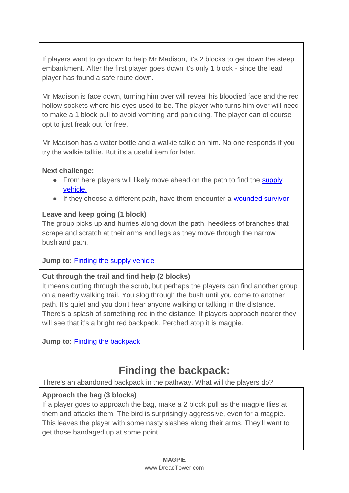If players want to go down to help Mr Madison, it's 2 blocks to get down the steep embankment. After the first player goes down it's only 1 block - since the lead player has found a safe route down.

Mr Madison is face down, turning him over will reveal his bloodied face and the red hollow sockets where his eyes used to be. The player who turns him over will need to make a 1 block pull to avoid vomiting and panicking. The player can of course opt to just freak out for free.

Mr Madison has a water bottle and a walkie talkie on him. No one responds if you try the walkie talkie. But it's a useful item for later.

**Next challenge:**

- From here players will likely move ahead on the path to find the supply [vehicle.](#page-6-0)
- If they choose a different path, have them encounter a [wounded survivor](#page-8-0)

### **Leave and keep going (1 block)**

The group picks up and hurries along down the path, heedless of branches that scrape and scratch at their arms and legs as they move through the narrow bushland path.

**Jump to:** [Finding the supply vehicle](#page-6-0)

### **Cut through the trail and find help (2 blocks)**

It means cutting through the scrub, but perhaps the players can find another group on a nearby walking trail. You slog through the bush until you come to another path. It's quiet and you don't hear anyone walking or talking in the distance. There's a splash of something red in the distance. If players approach nearer they will see that it's a bright red backpack. Perched atop it is magpie.

**Jump to:** [Finding the backpack](#page-5-0)

### **Finding the backpack:**

<span id="page-5-0"></span>There's an abandoned backpack in the pathway. What will the players do?

### **Approach the bag (3 blocks)**

If a player goes to approach the bag, make a 2 block pull as the magpie flies at them and attacks them. The bird is surprisingly aggressive, even for a magpie. This leaves the player with some nasty slashes along their arms. They'll want to get those bandaged up at some point.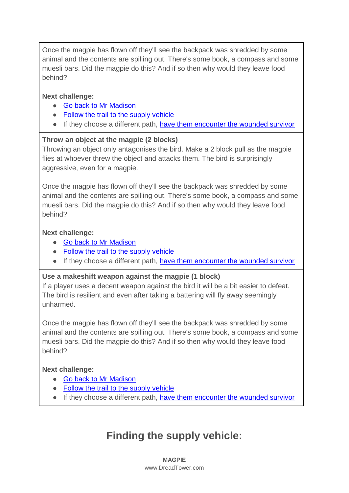Once the magpie has flown off they'll see the backpack was shredded by some animal and the contents are spilling out. There's some book, a compass and some muesli bars. Did the magpie do this? And if so then why would they leave food behind?

### **Next challenge:**

- [Go back to Mr Madison](#page-4-0)
- [Follow the trail to the supply vehicle](#page-6-0)
- If they choose a different path, [have them encounter the wounded survivor](#page-8-0)

### **Throw an object at the magpie (2 blocks)**

Throwing an object only antagonises the bird. Make a 2 block pull as the magpie flies at whoever threw the object and attacks them. The bird is surprisingly aggressive, even for a magpie.

Once the magpie has flown off they'll see the backpack was shredded by some animal and the contents are spilling out. There's some book, a compass and some muesli bars. Did the magpie do this? And if so then why would they leave food behind?

### **Next challenge:**

- [Go back to Mr Madison](#page-4-0)
- [Follow the trail to the supply vehicle](#page-6-0)
- If they choose a different path, [have them encounter the wounded survivor](#page-8-0)

### **Use a makeshift weapon against the magpie (1 block)**

If a player uses a decent weapon against the bird it will be a bit easier to defeat. The bird is resilient and even after taking a battering will fly away seemingly unharmed.

Once the magpie has flown off they'll see the backpack was shredded by some animal and the contents are spilling out. There's some book, a compass and some muesli bars. Did the magpie do this? And if so then why would they leave food behind?

### **Next challenge:**

- [Go back to Mr Madison](#page-4-0)
- [Follow the trail to the supply vehicle](#page-6-0)
- <span id="page-6-0"></span>● If they choose a different path, [have them encounter the wounded survivor](#page-8-0)

### **Finding the supply vehicle:**

**MAGPIE** www.DreadTower.com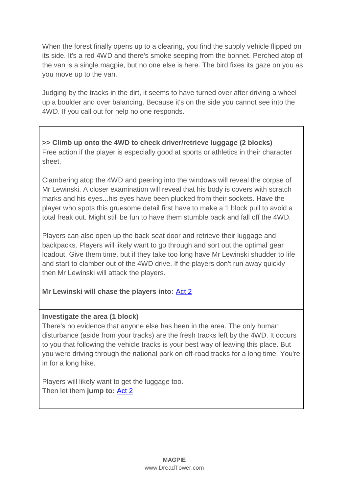When the forest finally opens up to a clearing, you find the supply vehicle flipped on its side. It's a red 4WD and there's smoke seeping from the bonnet. Perched atop of the van is a single magpie, but no one else is here. The bird fixes its gaze on you as you move up to the van.

Judging by the tracks in the dirt, it seems to have turned over after driving a wheel up a boulder and over balancing. Because it's on the side you cannot see into the 4WD. If you call out for help no one responds.

**>> Climb up onto the 4WD to check driver/retrieve luggage (2 blocks)** Free action if the player is especially good at sports or athletics in their character sheet.

Clambering atop the 4WD and peering into the windows will reveal the corpse of Mr Lewinski. A closer examination will reveal that his body is covers with scratch marks and his eyes...his eyes have been plucked from their sockets. Have the player who spots this gruesome detail first have to make a 1 block pull to avoid a total freak out. Might still be fun to have them stumble back and fall off the 4WD.

Players can also open up the back seat door and retrieve their luggage and backpacks. Players will likely want to go through and sort out the optimal gear loadout. Give them time, but if they take too long have Mr Lewinski shudder to life and start to clamber out of the 4WD drive. If the players don't run away quickly then Mr Lewinski will attack the players.

**Mr Lewinski will chase the players into:** [Act 2](#page-9-0)

### **Investigate the area (1 block)**

There's no evidence that anyone else has been in the area. The only human disturbance (aside from your tracks) are the fresh tracks left by the 4WD. It occurs to you that following the vehicle tracks is your best way of leaving this place. But you were driving through the national park on off-road tracks for a long time. You're in for a long hike.

Players will likely want to get the luggage too. Then let them **jump to:** [Act 2](#page-9-0)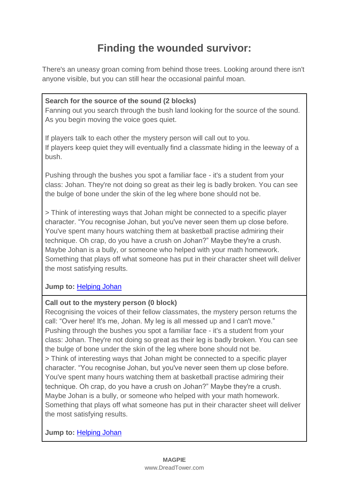### **Finding the wounded survivor:**

<span id="page-8-0"></span>There's an uneasy groan coming from behind those trees. Looking around there isn't anyone visible, but you can still hear the occasional painful moan.

### **Search for the source of the sound (2 blocks)**

Fanning out you search through the bush land looking for the source of the sound. As you begin moving the voice goes quiet.

If players talk to each other the mystery person will call out to you. If players keep quiet they will eventually find a classmate hiding in the leeway of a bush.

Pushing through the bushes you spot a familiar face - it's a student from your class: Johan. They're not doing so great as their leg is badly broken. You can see the bulge of bone under the skin of the leg where bone should not be.

> Think of interesting ways that Johan might be connected to a specific player character. "You recognise Johan, but you've never seen them up close before. You've spent many hours watching them at basketball practise admiring their technique. Oh crap, do you have a crush on Johan?" Maybe they're a crush. Maybe Johan is a bully, or someone who helped with your math homework. Something that plays off what someone has put in their character sheet will deliver the most satisfying results.

### **Jump to:** [Helping Johan](#page-9-1)

### **Call out to the mystery person (0 block)**

Recognising the voices of their fellow classmates, the mystery person returns the call: "Over here! It's me, Johan. My leg is all messed up and I can't move." Pushing through the bushes you spot a familiar face - it's a student from your class: Johan. They're not doing so great as their leg is badly broken. You can see the bulge of bone under the skin of the leg where bone should not be. > Think of interesting ways that Johan might be connected to a specific player character. "You recognise Johan, but you've never seen them up close before. You've spent many hours watching them at basketball practise admiring their technique. Oh crap, do you have a crush on Johan?" Maybe they're a crush. Maybe Johan is a bully, or someone who helped with your math homework. Something that plays off what someone has put in their character sheet will deliver the most satisfying results.

### **Jump to:** [Helping Johan](#page-9-1)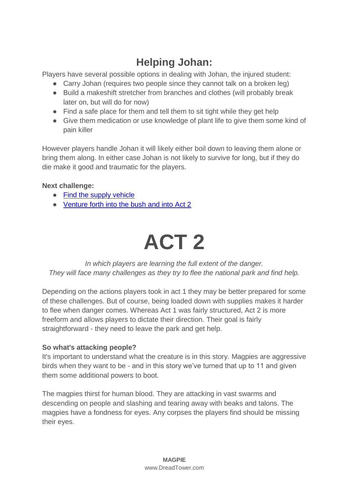### **Helping Johan:**

<span id="page-9-1"></span>Players have several possible options in dealing with Johan, the injured student:

- Carry Johan (requires two people since they cannot talk on a broken leg)
- Build a makeshift stretcher from branches and clothes (will probably break later on, but will do for now)
- Find a safe place for them and tell them to sit tight while they get help
- Give them medication or use knowledge of plant life to give them some kind of pain killer

However players handle Johan it will likely either boil down to leaving them alone or bring them along. In either case Johan is not likely to survive for long, but if they do die make it good and traumatic for the players.

### **Next challenge:**

- [Find the supply vehicle](#page-6-0)
- <span id="page-9-0"></span>● [Venture forth into the bush and into Act 2](#page-9-0)

# **ACT 2**

*In which players are learning the full extent of the danger. They will face many challenges as they try to flee the national park and find help.*

Depending on the actions players took in act 1 they may be better prepared for some of these challenges. But of course, being loaded down with supplies makes it harder to flee when danger comes. Whereas Act 1 was fairly structured, Act 2 is more freeform and allows players to dictate their direction. Their goal is fairly straightforward - they need to leave the park and get help.

### **So what's attacking people?**

It's important to understand what the creature is in this story. Magpies are aggressive birds when they want to be - and in this story we've turned that up to 11 and given them some additional powers to boot.

The magpies thirst for human blood. They are attacking in vast swarms and descending on people and slashing and tearing away with beaks and talons. The magpies have a fondness for eyes. Any corpses the players find should be missing their eyes.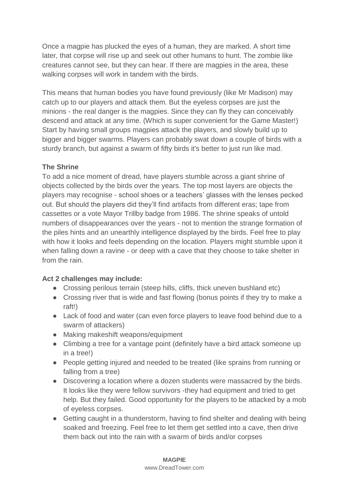Once a magpie has plucked the eyes of a human, they are marked. A short time later, that corpse will rise up and seek out other humans to hunt. The zombie like creatures cannot see, but they can hear. If there are magpies in the area, these walking corpses will work in tandem with the birds.

This means that human bodies you have found previously (like Mr Madison) may catch up to our players and attack them. But the eyeless corpses are just the minions - the real danger is the magpies. Since they can fly they can conceivably descend and attack at any time. (Which is super convenient for the Game Master!) Start by having small groups magpies attack the players, and slowly build up to bigger and bigger swarms. Players can probably swat down a couple of birds with a sturdy branch, but against a swarm of fifty birds it's better to just run like mad.

### **The Shrine**

To add a nice moment of dread, have players stumble across a giant shrine of objects collected by the birds over the years. The top most layers are objects the players may recognise - school shoes or a teachers' glasses with the lenses pecked out. But should the players did they'll find artifacts from different eras; tape from cassettes or a vote Mayor Trillby badge from 1986. The shrine speaks of untold numbers of disappearances over the years - not to mention the strange formation of the piles hints and an unearthly intelligence displayed by the birds. Feel free to play with how it looks and feels depending on the location. Players might stumble upon it when falling down a ravine - or deep with a cave that they choose to take shelter in from the rain.

### **Act 2 challenges may include:**

- Crossing perilous terrain (steep hills, cliffs, thick uneven bushland etc)
- Crossing river that is wide and fast flowing (bonus points if they try to make a raft!)
- Lack of food and water (can even force players to leave food behind due to a swarm of attackers)
- Making makeshift weapons/equipment
- Climbing a tree for a vantage point (definitely have a bird attack someone up in a tree!)
- People getting injured and needed to be treated (like sprains from running or falling from a tree)
- Discovering a location where a dozen students were massacred by the birds. It looks like they were fellow survivors -they had equipment and tried to get help. But they failed. Good opportunity for the players to be attacked by a mob of eyeless corpses.
- Getting caught in a thunderstorm, having to find shelter and dealing with being soaked and freezing. Feel free to let them get settled into a cave, then drive them back out into the rain with a swarm of birds and/or corpses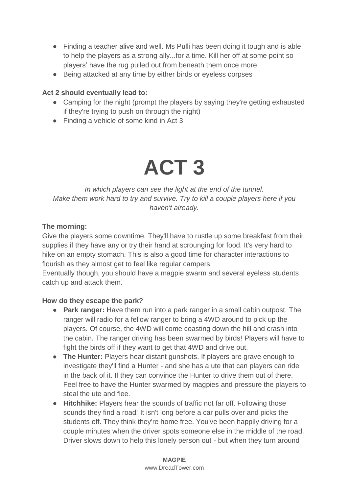- Finding a teacher alive and well. Ms Pulli has been doing it tough and is able to help the players as a strong ally...for a time. Kill her off at some point so players' have the rug pulled out from beneath them once more
- Being attacked at any time by either birds or eyeless corpses

### **Act 2 should eventually lead to:**

- Camping for the night (prompt the players by saying they're getting exhausted if they're trying to push on through the night)
- <span id="page-11-0"></span>● Finding a vehicle of some kind in Act 3

## **ACT 3**

### *In which players can see the light at the end of the tunnel. Make them work hard to try and survive. Try to kill a couple players here if you haven't already.*

### **The morning:**

Give the players some downtime. They'll have to rustle up some breakfast from their supplies if they have any or try their hand at scrounging for food. It's very hard to hike on an empty stomach. This is also a good time for character interactions to flourish as they almost get to feel like regular campers.

Eventually though, you should have a magpie swarm and several eyeless students catch up and attack them.

### **How do they escape the park?**

- **Park ranger:** Have them run into a park ranger in a small cabin outpost. The ranger will radio for a fellow ranger to bring a 4WD around to pick up the players. Of course, the 4WD will come coasting down the hill and crash into the cabin. The ranger driving has been swarmed by birds! Players will have to fight the birds off if they want to get that 4WD and drive out.
- **The Hunter:** Players hear distant gunshots. If players are grave enough to investigate they'll find a Hunter - and she has a ute that can players can ride in the back of it. If they can convince the Hunter to drive them out of there. Feel free to have the Hunter swarmed by magpies and pressure the players to steal the ute and flee.
- **Hitchhike:** Players hear the sounds of traffic not far off. Following those sounds they find a road! It isn't long before a car pulls over and picks the students off. They think they're home free. You've been happily driving for a couple minutes when the driver spots someone else in the middle of the road. Driver slows down to help this lonely person out - but when they turn around